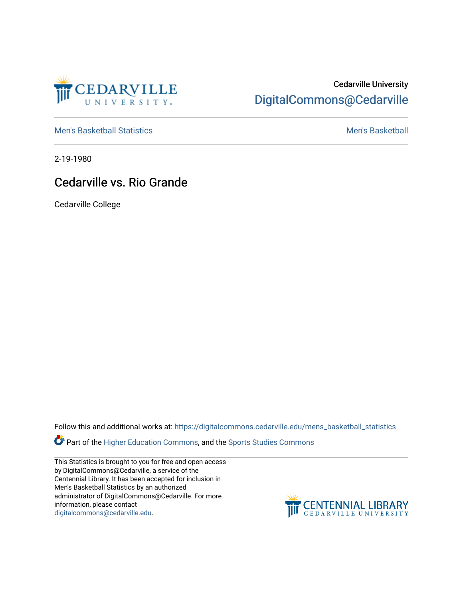

## Cedarville University [DigitalCommons@Cedarville](https://digitalcommons.cedarville.edu/)

[Men's Basketball Statistics](https://digitalcommons.cedarville.edu/mens_basketball_statistics) [Men's Basketball](https://digitalcommons.cedarville.edu/mens_basketball) 

2-19-1980

## Cedarville vs. Rio Grande

Cedarville College

Follow this and additional works at: [https://digitalcommons.cedarville.edu/mens\\_basketball\\_statistics](https://digitalcommons.cedarville.edu/mens_basketball_statistics?utm_source=digitalcommons.cedarville.edu%2Fmens_basketball_statistics%2F338&utm_medium=PDF&utm_campaign=PDFCoverPages) 

Part of the [Higher Education Commons,](http://network.bepress.com/hgg/discipline/1245?utm_source=digitalcommons.cedarville.edu%2Fmens_basketball_statistics%2F338&utm_medium=PDF&utm_campaign=PDFCoverPages) and the Sports Studies Commons

This Statistics is brought to you for free and open access by DigitalCommons@Cedarville, a service of the Centennial Library. It has been accepted for inclusion in Men's Basketball Statistics by an authorized administrator of DigitalCommons@Cedarville. For more information, please contact [digitalcommons@cedarville.edu](mailto:digitalcommons@cedarville.edu).